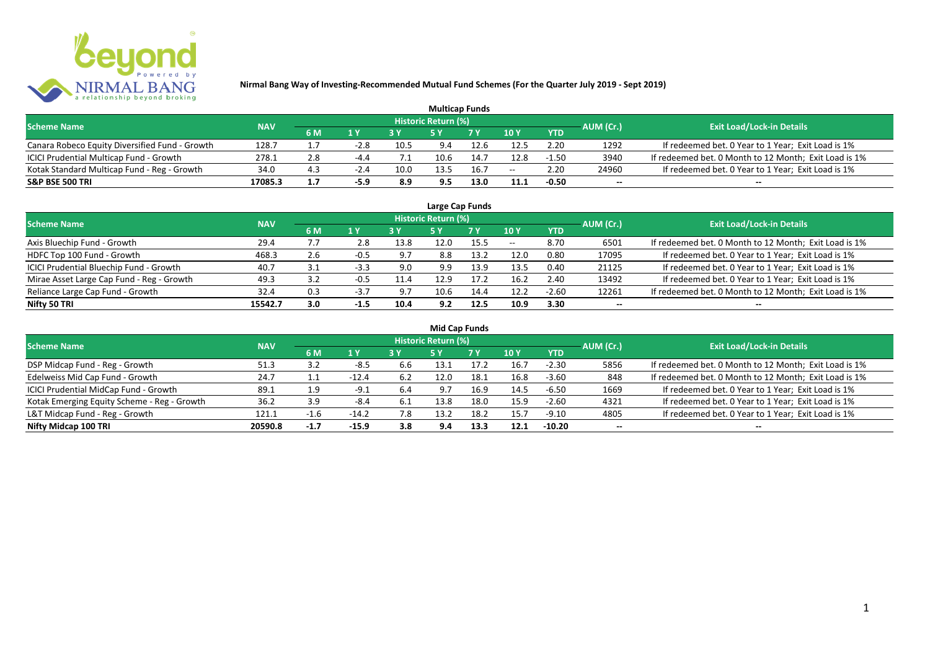

|                                                |            |     |        |      |                     | <b>Multicap Funds</b> |       |            |           |                                                       |
|------------------------------------------------|------------|-----|--------|------|---------------------|-----------------------|-------|------------|-----------|-------------------------------------------------------|
| <b>Scheme Name</b>                             | <b>NAV</b> |     |        |      | Historic Return (%) |                       |       |            | AUM (Cr.) | <b>Exit Load/Lock-in Details</b>                      |
|                                                |            | 6 M | 1 Y    | 2V   |                     | 7 V                   | 10 Y  | <b>YTD</b> |           |                                                       |
| Canara Robeco Equity Diversified Fund - Growth | 128.7      | 1.7 | $-2.8$ | 10.5 | 9.4                 | 12.b                  | 12.5  | 2.20       | 1292      | If redeemed bet. 0 Year to 1 Year; Exit Load is 1%    |
| ICICI Prudential Multicap Fund - Growth        | 278.1      | 2.8 | $-4.4$ |      |                     | 14.7                  | 12.8  | -1.50      | 3940      | If redeemed bet. 0 Month to 12 Month; Exit Load is 1% |
| Kotak Standard Multicap Fund - Reg - Growth    | 34.0       | 4.3 | $-2.4$ | 10.0 | 13.5                | 16.7                  | $- -$ | 2.20       | 24960     | If redeemed bet. 0 Year to 1 Year; Exit Load is 1%    |
| <b>S&amp;P BSE 500 TRI</b>                     | 17085.3    | 1.7 | $-5.9$ | 8.9  | 9.5                 | 13.0                  | 11.1  | -0.50      | $- -$     | $- -$                                                 |

|                                           |            |                       |        |      |                            | Large Cap Funds |       |            |                          |                                                       |
|-------------------------------------------|------------|-----------------------|--------|------|----------------------------|-----------------|-------|------------|--------------------------|-------------------------------------------------------|
| <b>Scheme Name</b>                        | <b>NAV</b> |                       |        |      | <b>Historic Return (%)</b> |                 |       |            | AUM (Cr.)                | <b>Exit Load/Lock-in Details</b>                      |
|                                           |            | 6 M                   | 1Y     | 3 Y  | <b>5 Y</b>                 | 7Y              | 10Y   | <b>YTD</b> |                          |                                                       |
| Axis Bluechip Fund - Growth               | 29.4       | $\prime \cdot \prime$ | 2.8    | 13.8 | 12.0                       | 15.5            | $- -$ | 8.70       | 6501                     | If redeemed bet. 0 Month to 12 Month; Exit Load is 1% |
| HDFC Top 100 Fund - Growth                | 468.3      | 2.6                   | -0.5   | 9.7  | 8.8                        | 13.2            | 12.0  | 0.80       | 17095                    | If redeemed bet. 0 Year to 1 Year; Exit Load is 1%    |
| ICICI Prudential Bluechip Fund - Growth   | 40.7       | 3.1                   | $-3.3$ | 9.0  | 9.9                        | 13.9            | 13.5  | 0.40       | 21125                    | If redeemed bet. 0 Year to 1 Year; Exit Load is 1%    |
| Mirae Asset Large Cap Fund - Reg - Growth | 49.3       | 3.2                   | $-0.5$ | 11.4 | 12.9                       | 17.2            | 16.2  | 2.40       | 13492                    | If redeemed bet. 0 Year to 1 Year; Exit Load is 1%    |
| Reliance Large Cap Fund - Growth          | 32.4       | 0.3                   | $-3.7$ | 9.7  | 10.6                       | 14.4            | 12.2  | $-2.60$    | 12261                    | If redeemed bet. 0 Month to 12 Month; Exit Load is 1% |
| Nifty 50 TRI                              | 15542.7    | 3.0                   | $-1.5$ | 10.4 | 9.2                        | 12.5            | 10.9  | 3.30       | $\overline{\phantom{a}}$ | $- -$                                                 |

| <b>Mid Cap Funds</b>                        |            |        |         |     |                     |      |      |            |                          |                                                       |  |  |  |  |
|---------------------------------------------|------------|--------|---------|-----|---------------------|------|------|------------|--------------------------|-------------------------------------------------------|--|--|--|--|
| <b>Scheme Name</b>                          | <b>NAV</b> |        |         |     | Historic Return (%) |      |      |            | AUM (Cr.)                | <b>Exit Load/Lock-in Details</b>                      |  |  |  |  |
|                                             |            | 6 M    | 1 Y     |     | 5 Y                 | 7 Y  | 10Y  | <b>YTD</b> |                          |                                                       |  |  |  |  |
| DSP Midcap Fund - Reg - Growth              | 51.3       | 3.2    | $-8.5$  | b.b | 13.1                | 17.2 | 16.7 | $-2.30$    | 5856                     | If redeemed bet. 0 Month to 12 Month; Exit Load is 1% |  |  |  |  |
| Edelweiss Mid Cap Fund - Growth             | 24.7       | ᆠᆞᆠ    | $-12.4$ | 6.2 | 12.0                | 18.1 | 16.8 | $-3.60$    | 848                      | If redeemed bet. 0 Month to 12 Month; Exit Load is 1% |  |  |  |  |
| ICICI Prudential MidCap Fund - Growth       | 89.1       | 1.9    | -9.1    | 6.4 | 9.7                 | 16.9 | 14.5 | $-6.50$    | 1669                     | If redeemed bet. 0 Year to 1 Year; Exit Load is 1%    |  |  |  |  |
| Kotak Emerging Equity Scheme - Reg - Growth | 36.2       | 3.9    | -8.4    | 6.1 | 13.8                | 18.0 | 15.9 | $-2.60$    | 4321                     | If redeemed bet. 0 Year to 1 Year; Exit Load is 1%    |  |  |  |  |
| L&T Midcap Fund - Reg - Growth              | 121.1      | $-1$   | $-14.2$ | 7.8 | 13.2                | 18.2 | 15.7 | $-9.10$    | 4805                     | If redeemed bet. 0 Year to 1 Year; Exit Load is 1%    |  |  |  |  |
| Nifty Midcap 100 TRI                        | 20590.8    | $-1.7$ | $-15.9$ | 3.8 | 9.4                 | 13.3 | 12.1 | $-10.20$   | $\overline{\phantom{a}}$ | $- -$                                                 |  |  |  |  |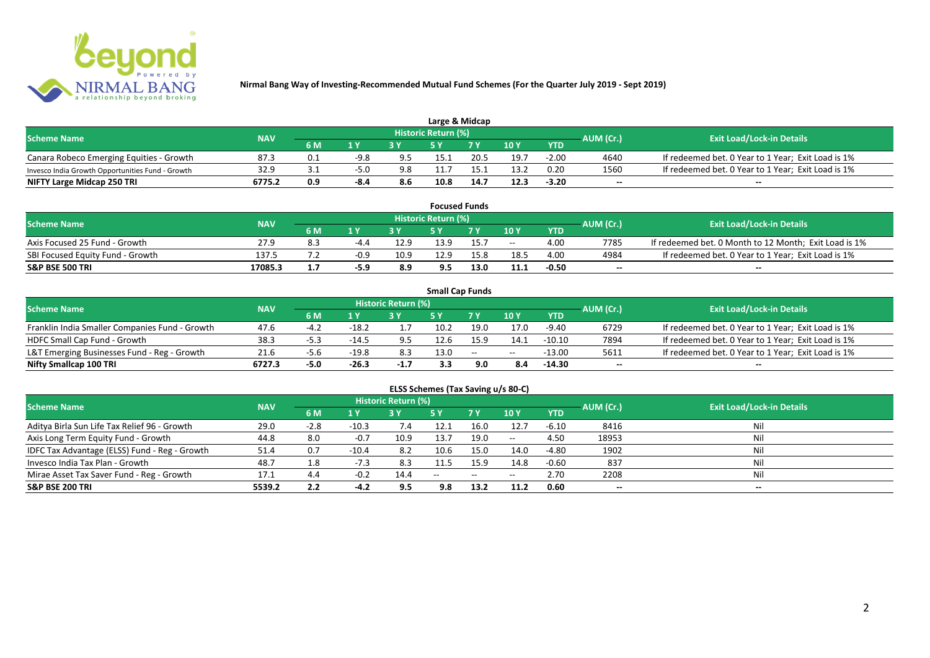

| Large & Midcap                                   |            |       |                |     |                            |      |      |            |           |                                                    |  |  |  |
|--------------------------------------------------|------------|-------|----------------|-----|----------------------------|------|------|------------|-----------|----------------------------------------------------|--|--|--|
| <b>Scheme Name</b>                               | <b>NAV</b> |       |                |     | <b>Historic Return (%)</b> |      |      |            | AUM (Cr.) | <b>Exit Load/Lock-in Details</b>                   |  |  |  |
|                                                  |            | 6 M   | 1 <sub>N</sub> |     |                            | 7 V  | 10Y  | <b>YTD</b> |           |                                                    |  |  |  |
| Canara Robeco Emerging Equities - Growth         | 87.3       | - ∪.⊥ | $-9.8$         | 9.5 | 15.1                       | 20.5 | 19.7 | $-2.00$    | 4640      | If redeemed bet. 0 Year to 1 Year; Exit Load is 1% |  |  |  |
| Invesco India Growth Opportunities Fund - Growth | 32.9       |       | $-5.0$         | 9.8 |                            |      | 13.2 | 0.20       | 1560      | If redeemed bet. 0 Year to 1 Year; Exit Load is 1% |  |  |  |
| NIFTY Large Midcap 250 TRI                       | 6775.2     | 0.9   | -8.4           | 8.6 | 10.8                       | 14.7 | 12.3 | $-3.20$    | $- -$     | $- -$                                              |  |  |  |

|                                  |            |     |        |      |                     | <b>Focused Funds</b> |       |            |           |                                                       |
|----------------------------------|------------|-----|--------|------|---------------------|----------------------|-------|------------|-----------|-------------------------------------------------------|
| <b>Scheme Name</b>               | <b>NAV</b> |     |        |      | Historic Return (%) |                      |       |            | AUM (Cr.) | <b>Exit Load/Lock-in Details</b>                      |
|                                  |            | 6 M | 1 V    |      | cν                  | 7 V                  | 10 Y  | <b>YTD</b> |           |                                                       |
| Axis Focused 25 Fund - Growth    | 27.9       | 8.3 | $-4.4$ | 12.9 | 13.9                | 15.7                 | $- -$ | 4.00       | 7785      | If redeemed bet. 0 Month to 12 Month; Exit Load is 1% |
| SBI Focused Equity Fund - Growth | 137.5      |     | $-0.9$ | 10.9 | 12.9                | 15.8                 | 18.5  | 4.00       | 4984      | If redeemed bet. 0 Year to 1 Year; Exit Load is 1%    |
| <b>S&amp;P BSE 500 TRI</b>       | 17085.3    |     | -5.9   | 8.9  | 9.5                 | 13.0                 | 11.1  | $-0.50$    | $- -$     | $- -$                                                 |

|                                                |            |      |         |                     | <b>Small Cap Funds</b> |        |       |            |           |                                                    |
|------------------------------------------------|------------|------|---------|---------------------|------------------------|--------|-------|------------|-----------|----------------------------------------------------|
| <b>Scheme Name</b>                             | <b>NAV</b> |      |         | Historic Return (%) |                        |        |       |            | AUM (Cr.) | <b>Exit Load/Lock-in Details</b>                   |
|                                                |            | 6 M  |         |                     |                        |        | 10Y   | <b>YTD</b> |           |                                                    |
| Franklin India Smaller Companies Fund - Growth | 47.6       | -4.2 | $-18.2$ |                     | 10.2                   | 19.0   | 17.0  | $-9.40$    | 6729      | If redeemed bet. 0 Year to 1 Year; Exit Load is 1% |
| HDFC Small Cap Fund - Growth                   | 38.3       |      | $-14.5$ | 9.5                 | 12.6                   | 15.9   | 14.1  | $-10.10$   | 7894      | If redeemed bet. 0 Year to 1 Year; Exit Load is 1% |
| L&T Emerging Businesses Fund - Reg - Growth    | 21.6       | -5.t | $-19.8$ | 8.3                 | 13.0                   | $\sim$ | $- -$ | $-13.00$   | 5611      | If redeemed bet. 0 Year to 1 Year; Exit Load is 1% |
| Nifty Smallcap 100 TRI                         | 6727.3     | -5.0 | $-26.3$ | $-1.7$              | 3.3                    | 9.0    | 8.4   | $-14.30$   | $- -$     | --                                                 |

# **ELSS Schemes (Tax Saving u/s 80-C)**

| <b>Scheme Name</b>                            | <b>NAV</b> |        |                | <b>Historic Return (%)</b> |       |      |         |            | AUM (Cr.)                | <b>Exit Load/Lock-in Details</b> |
|-----------------------------------------------|------------|--------|----------------|----------------------------|-------|------|---------|------------|--------------------------|----------------------------------|
|                                               |            | 6 M    | 1 <sub>Y</sub> |                            | 5 Y   | 7Y   | 10Y     | <b>YTD</b> |                          |                                  |
| Aditya Birla Sun Life Tax Relief 96 - Growth  | 29.0       | $-2.8$ | $-10.3$        | 7.4                        | 12.1  | 16.0 | 12.7    | $-6.10$    | 8416                     | Nil                              |
| Axis Long Term Equity Fund - Growth           | 44.8       | 8.0    | $-0.7$         | 10.9                       | 13.7  | 19.0 | $-  \,$ | 4.50       | 18953                    |                                  |
| IDFC Tax Advantage (ELSS) Fund - Reg - Growth | 51.4       | 0.7    | $-10.4$        | 8.2                        | 10.6  | 15.0 | 14.0    | $-4.80$    | 1902                     |                                  |
| Invesco India Tax Plan - Growth               | 48.7       | 1.8    | $-7.3$         | 8.3                        | 11.5  | 15.9 | 14.8    | $-0.60$    | 837                      | Ni                               |
| Mirae Asset Tax Saver Fund - Reg - Growth     | 17.1       | 4.4    | $-0.2$         | 14.4                       | $- -$ | --   | $- -$   | 2.70       | 2208                     |                                  |
| <b>S&amp;P BSE 200 TRI</b>                    | 5539.2     | 2.2    | $-4.2$         | 9.5                        | 9.8   | 13.2 | 11.2    | 0.60       | $\overline{\phantom{a}}$ | $\overline{\phantom{a}}$         |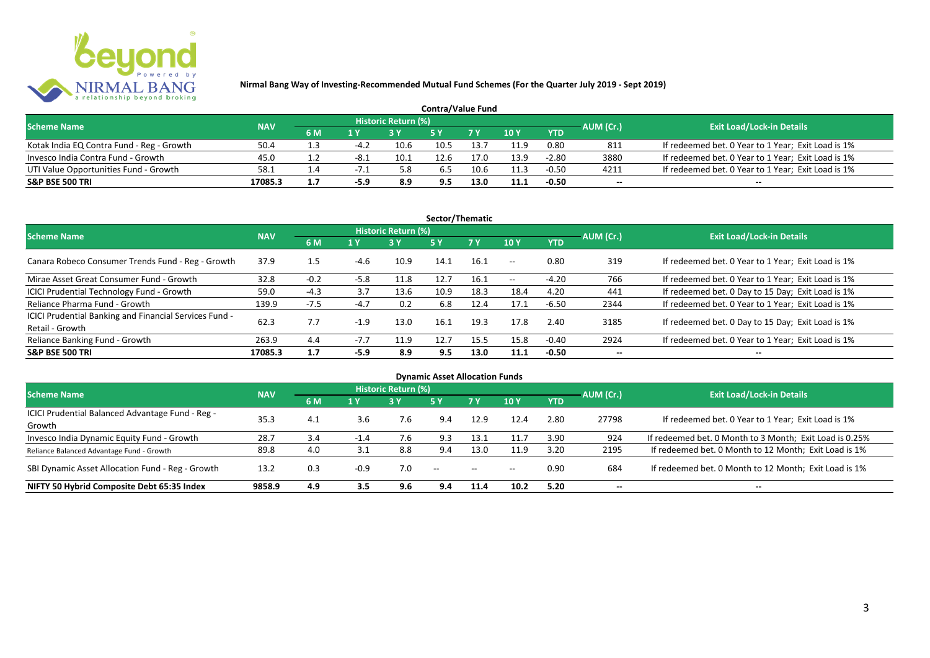

|                                           |            |           |        |                     | <b>Contra/Value Fund</b> |      |               |            |           |                                                    |
|-------------------------------------------|------------|-----------|--------|---------------------|--------------------------|------|---------------|------------|-----------|----------------------------------------------------|
| <b>Scheme Name</b>                        | <b>NAV</b> |           |        | Historic Return (%) |                          |      |               |            | AUM (Cr.) | <b>Exit Load/Lock-in Details</b>                   |
|                                           |            | <b>6M</b> | 1 Y    |                     |                          |      | $\sqrt{10}$ Y | <b>YTD</b> |           |                                                    |
| Kotak India EQ Contra Fund - Reg - Growth | 50.4       |           | $-4.2$ | 10.6                | 10.5                     | 13.7 | 11.9          | 0.80       | 811       | If redeemed bet. 0 Year to 1 Year; Exit Load is 1% |
| Invesco India Contra Fund - Growth        | 45.0       |           |        | 10.1                | 12.6                     |      | 13.9          | $-2.80$    | 3880      | If redeemed bet. 0 Year to 1 Year; Exit Load is 1% |
| UTI Value Opportunities Fund - Growth     | 58.1       | $\pm .4$  | - 1    | 5.8                 | 6.5                      | 10.6 | 11.3          | $-0.50$    | 4211      | If redeemed bet. 0 Year to 1 Year; Exit Load is 1% |
| <b>S&amp;P BSE 500 TRI</b>                | 17085.3    | 1.1       | -5.9   | 8.9                 | 9.5                      |      | 11.1          | $-0.50$    | --        | $- -$                                              |

| Sector/Thematic                                                           |            |        |        |                            |            |           |               |            |           |                                                    |  |  |  |
|---------------------------------------------------------------------------|------------|--------|--------|----------------------------|------------|-----------|---------------|------------|-----------|----------------------------------------------------|--|--|--|
| <b>Scheme Name</b>                                                        | <b>NAV</b> |        |        | <b>Historic Return (%)</b> |            |           |               |            | AUM (Cr.) | <b>Exit Load/Lock-in Details</b>                   |  |  |  |
|                                                                           |            | 6 M    | 1 Y    | <b>3Y</b>                  | <b>5 Y</b> | <b>7Y</b> | 10Y           | <b>YTD</b> |           |                                                    |  |  |  |
| Canara Robeco Consumer Trends Fund - Reg - Growth                         | 37.9       | 1.5    | -4.6   | 10.9                       | 14.1       | 16.1      | $\sim$ $-$    | 0.80       | 319       | If redeemed bet. 0 Year to 1 Year; Exit Load is 1% |  |  |  |
| Mirae Asset Great Consumer Fund - Growth                                  | 32.8       | $-0.2$ | $-5.8$ | 11.8                       | 12.7       | 16.1      | $\sim$ $\sim$ | $-4.20$    | 766       | If redeemed bet. 0 Year to 1 Year; Exit Load is 1% |  |  |  |
| <b>ICICI Prudential Technology Fund - Growth</b>                          | 59.0       | $-4.3$ | 3.7    | 13.6                       | 10.9       | 18.3      | 18.4          | 4.20       | 441       | If redeemed bet. 0 Day to 15 Day; Exit Load is 1%  |  |  |  |
| Reliance Pharma Fund - Growth                                             | 139.9      | $-7.5$ | $-4.7$ | 0.2                        | 6.8        | 12.4      | 17.1          | $-6.50$    | 2344      | If redeemed bet. 0 Year to 1 Year; Exit Load is 1% |  |  |  |
| ICICI Prudential Banking and Financial Services Fund -<br>Retail - Growth | 62.3       | 7.7    | $-1.9$ | 13.0                       | 16.1       | 19.3      | 17.8          | 2.40       | 3185      | If redeemed bet. 0 Day to 15 Day; Exit Load is 1%  |  |  |  |
| Reliance Banking Fund - Growth                                            | 263.9      | 4.4    | $-7.7$ | 11.9                       | 12.7       | 15.5      | 15.8          | $-0.40$    | 2924      | If redeemed bet. 0 Year to 1 Year; Exit Load is 1% |  |  |  |
| <b>S&amp;P BSE 500 TRI</b>                                                | 17085.3    | 1.7    | -5.9   | 8.9                        | 9.5        | 13.0      | 11.1          | $-0.50$    |           | --                                                 |  |  |  |

| <b>Dynamic Asset Allocation Funds</b>            |            |     |        |                            |      |               |       |            |                          |                                                         |  |  |  |
|--------------------------------------------------|------------|-----|--------|----------------------------|------|---------------|-------|------------|--------------------------|---------------------------------------------------------|--|--|--|
| <b>Scheme Name</b>                               | <b>NAV</b> |     |        | <b>Historic Return (%)</b> |      |               |       |            | AUM (Cr.)                | <b>Exit Load/Lock-in Details</b>                        |  |  |  |
|                                                  |            | 6 M | 1 Y    | 3Y                         | 5 Y  | 7Y            | 10Y   | <b>YTD</b> |                          |                                                         |  |  |  |
| ICICI Prudential Balanced Advantage Fund - Reg - | 35.3       | 4.1 |        |                            |      |               | 12.4  | 2.80       | 27798                    |                                                         |  |  |  |
| Growth                                           |            |     | 3.6    | 7.6                        | 9.4  | 12.9          |       |            |                          | If redeemed bet. 0 Year to 1 Year; Exit Load is 1%      |  |  |  |
| Invesco India Dynamic Equity Fund - Growth       | 28.7       | 3.4 | $-1.4$ | 7.6                        | 9.3  | 13.1          | 11.7  | 3.90       | 924                      | If redeemed bet. 0 Month to 3 Month; Exit Load is 0.25% |  |  |  |
| Reliance Balanced Advantage Fund - Growth        | 89.8       | 4.0 | 3.1    | 8.8                        | 9.4  | 13.0          | 11.9  | 3.20       | 2195                     | If redeemed bet. 0 Month to 12 Month; Exit Load is 1%   |  |  |  |
| SBI Dynamic Asset Allocation Fund - Reg - Growth | 13.2       | 0.3 | $-0.9$ | 7.0                        | $ -$ | $\sim$ $\sim$ | $- -$ | 0.90       | 684                      | If redeemed bet. 0 Month to 12 Month; Exit Load is 1%   |  |  |  |
| NIFTY 50 Hybrid Composite Debt 65:35 Index       | 9858.9     | 4.9 | 3.5    | 9.6                        | 9.4  | 11.4          | 10.2  | 5.20       | $\overline{\phantom{a}}$ | $- -$                                                   |  |  |  |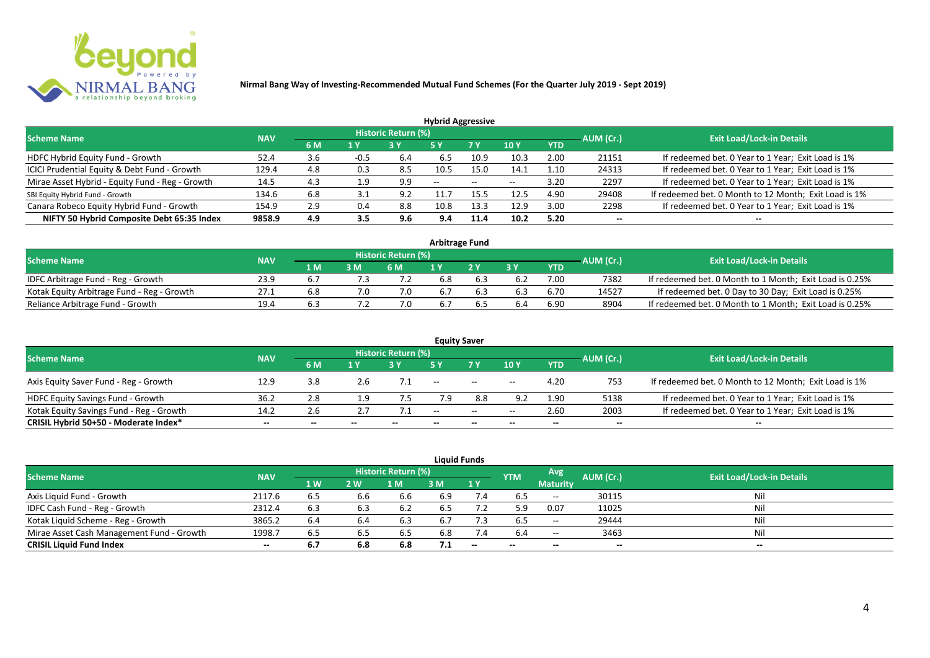

| <b>Hybrid Aggressive</b>                        |            |     |      |                            |                          |      |                          |            |                          |                                                       |  |  |  |
|-------------------------------------------------|------------|-----|------|----------------------------|--------------------------|------|--------------------------|------------|--------------------------|-------------------------------------------------------|--|--|--|
| <b>Scheme Name</b>                              | <b>NAV</b> |     |      | <b>Historic Return (%)</b> |                          |      |                          |            | AUM (Cr.)                | <b>Exit Load/Lock-in Details</b>                      |  |  |  |
|                                                 |            | 6 M | 1 Y  |                            | 5 Y                      | 7 Y  | 10Y                      | <b>YTD</b> |                          |                                                       |  |  |  |
| HDFC Hybrid Equity Fund - Growth                | 52.4       | 3.6 | -0.5 | 6.4                        | 6.5                      | 10.9 | 10.3                     | 2.00       | 21151                    | If redeemed bet. 0 Year to 1 Year; Exit Load is 1%    |  |  |  |
| ICICI Prudential Equity & Debt Fund - Growth    | 129.4      | 4.8 | 0.3  | 8.5                        | 10.5                     | 15.0 | 14.1                     | 1.10       | 24313                    | If redeemed bet. 0 Year to 1 Year; Exit Load is 1%    |  |  |  |
| Mirae Asset Hybrid - Equity Fund - Reg - Growth | 14.5       | 4.3 | 1.9  | 9.9                        | $\overline{\phantom{a}}$ | --   | $\overline{\phantom{a}}$ | 3.20       | 2297                     | If redeemed bet. 0 Year to 1 Year; Exit Load is 1%    |  |  |  |
| SBI Equity Hybrid Fund - Growth                 | 134.6      | 6.8 |      | 9.2                        |                          | 15.5 | 12.5                     | 4.90       | 29408                    | If redeemed bet. 0 Month to 12 Month; Exit Load is 1% |  |  |  |
| Canara Robeco Equity Hybrid Fund - Growth       | 154.9      | 2.9 | 0.4  | 8.8                        | 10.8                     | 13.3 | 12.9                     | 3.00       | 2298                     | If redeemed bet. 0 Year to 1 Year; Exit Load is 1%    |  |  |  |
| NIFTY 50 Hybrid Composite Debt 65:35 Index      | 9858.9     | 4.9 | 3.5  | 9.6                        | 9.4                      | 11.4 | 10.2                     | 5.20       | $\overline{\phantom{a}}$ | $- -$                                                 |  |  |  |

| <b>Arbitrage Fund</b>                      |            |     |     |                            |     |  |     |      |           |                                                         |  |  |  |
|--------------------------------------------|------------|-----|-----|----------------------------|-----|--|-----|------|-----------|---------------------------------------------------------|--|--|--|
| <b>Scheme Name</b>                         | <b>NAV</b> |     |     | <b>Historic Return (%)</b> |     |  |     |      | AUM (Cr.) | <b>Exit Load/Lock-in Details</b>                        |  |  |  |
|                                            |            | 1 M | 3 M | 6 M                        |     |  | 2 V | YTD  |           |                                                         |  |  |  |
| IDFC Arbitrage Fund - Reg - Growth         | 23.9       |     |     |                            | 6.8 |  |     | 7.00 | 7382      | If redeemed bet. 0 Month to 1 Month; Exit Load is 0.25% |  |  |  |
| Kotak Equity Arbitrage Fund - Reg - Growth | 27.1       | 6.8 |     | 7.0                        | 6.7 |  |     | 6.70 | 14527     | If redeemed bet. 0 Day to 30 Day; Exit Load is 0.25%    |  |  |  |
| Reliance Arbitrage Fund - Growth           | 19.4       |     |     |                            | 6.7 |  |     | 6.90 | 8904      | If redeemed bet. 0 Month to 1 Month; Exit Load is 0.25% |  |  |  |

|                                          |            |       |       |                     |       | <b>Equity Saver</b>                            |       |            |           |                                                       |
|------------------------------------------|------------|-------|-------|---------------------|-------|------------------------------------------------|-------|------------|-----------|-------------------------------------------------------|
| <b>Scheme Name</b>                       | <b>NAV</b> |       |       | Historic Return (%) |       |                                                |       |            | AUM (Cr.) | <b>Exit Load/Lock-in Details</b>                      |
|                                          |            | 6 M   | 1 V   |                     |       | 7 <sub>V</sub>                                 | 10Y   | <b>YTD</b> |           |                                                       |
| Axis Equity Saver Fund - Reg - Growth    | 12.9       | 3.8   | 2.6   |                     | $- -$ | $\hspace{0.1mm}-\hspace{0.1mm}-\hspace{0.1mm}$ | $- -$ | 4.20       | 753       | If redeemed bet. 0 Month to 12 Month; Exit Load is 1% |
| HDFC Equity Savings Fund - Growth        | 36.2       | 2.8   | 1.9   | 7.5                 |       | 8.8                                            | 9.2   | 1.90       | 5138      | If redeemed bet. 0 Year to 1 Year; Exit Load is 1%    |
| Kotak Equity Savings Fund - Reg - Growth | 14.2       | 2.6   |       |                     | $- -$ | $\sim$                                         | $- -$ | 2.60       | 2003      | If redeemed bet. 0 Year to 1 Year; Exit Load is 1%    |
| CRISIL Hybrid 50+50 - Moderate Index*    | $- -$      | $- -$ | $- -$ |                     | $- -$ | --                                             |       | $- -$      | $- -$     |                                                       |

| <b>Liquid Funds</b>                       |                                  |           |     |      |     |                          |            |                     |           |       |  |  |  |  |
|-------------------------------------------|----------------------------------|-----------|-----|------|-----|--------------------------|------------|---------------------|-----------|-------|--|--|--|--|
| <b>Scheme Name</b>                        | <b>Exit Load/Lock-in Details</b> |           |     |      |     |                          |            |                     |           |       |  |  |  |  |
|                                           | <b>NAV</b>                       | <b>1W</b> | 2 W | l M  | 3 M | 1Y                       | <b>YTM</b> | <b>Maturity</b>     | AUM (Cr.) |       |  |  |  |  |
| Axis Liquid Fund - Growth                 | 2117.6                           | 6.5       | 6.6 | 6.6  | 6.9 | 7.4                      | 6.5        | $\hspace{0.05cm} -$ | 30115     | Nil   |  |  |  |  |
| IDFC Cash Fund - Reg - Growth             | 2312.4                           | 6.3       | 6.3 | -6.2 | 6.5 |                          | 5.9        | 0.07                | 11025     | Nil   |  |  |  |  |
| Kotak Liquid Scheme - Reg - Growth        | 3865.2                           | 6.4       | 6.4 | 6.3  | 6.7 |                          | 6.5        | $- -$               | 29444     | Nil   |  |  |  |  |
| Mirae Asset Cash Management Fund - Growth | 1998.7                           | 6.5       | 6.5 | -6.5 | 6.8 | 7.4                      | -6.4       | $- -$               | 3463      | Nil   |  |  |  |  |
| <b>CRISIL Liquid Fund Index</b>           | $- -$                            | 6.7       | 6.8 | 6.8  | 7.1 | $\overline{\phantom{a}}$ | $- -$      | $-$                 | $-$       | $- -$ |  |  |  |  |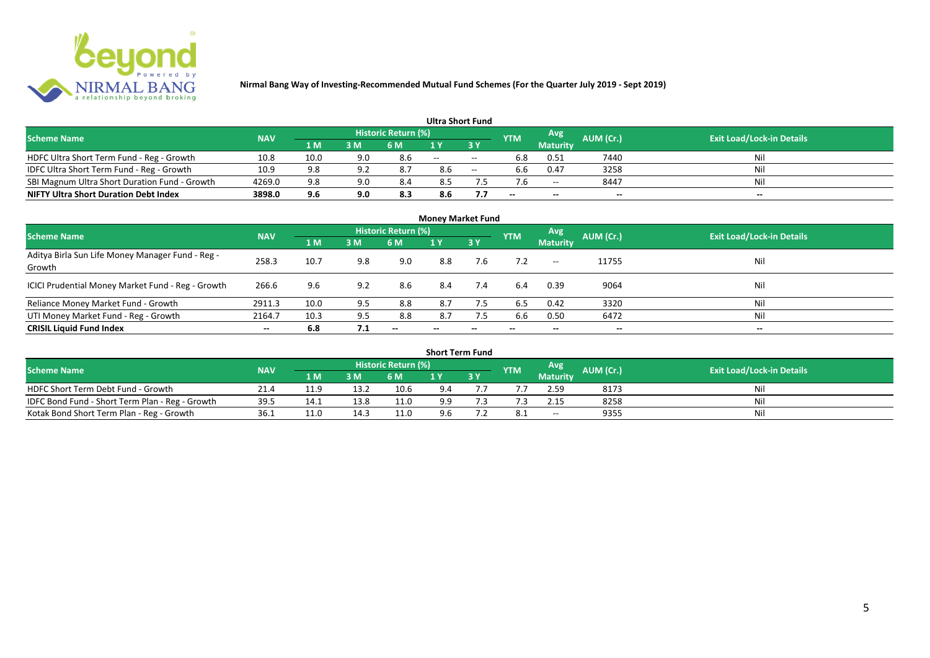

| <b>Ultra Short Fund</b>                       |            |      |     |                            |       |           |            |                 |           |                                  |  |  |  |  |
|-----------------------------------------------|------------|------|-----|----------------------------|-------|-----------|------------|-----------------|-----------|----------------------------------|--|--|--|--|
| <b>Scheme Name</b>                            | <b>NAV</b> |      |     | <b>Historic Return (%)</b> |       |           | <b>YTM</b> | Avg             | AUM (Cr.) | <b>Exit Load/Lock-in Details</b> |  |  |  |  |
|                                               |            | 1 M  | 3 M | <b>6 M</b>                 |       | <b>3Y</b> |            | <b>Maturity</b> |           |                                  |  |  |  |  |
| HDFC Ultra Short Term Fund - Reg - Growth     | 10.8       | 10.0 | 9.0 | 8.6                        | $- -$ | $- -$     | 6.8        | 0.51            | 7440      | Nil                              |  |  |  |  |
| IDFC Ultra Short Term Fund - Reg - Growth     | 10.9       | 9.8  | 9.2 |                            | 8.6   | $-$       | 6.6        | 0.47            | 3258      | Nil                              |  |  |  |  |
| SBI Magnum Ultra Short Duration Fund - Growth | 4269.0     | 9.8  | 9.0 | 8.4                        | 8.5   |           |            | $- -$           | 8447      | Nil                              |  |  |  |  |
| <b>NIFTY Ultra Short Duration Debt Index</b>  | 3898.0     | 9.6  | 9.0 | 8.3                        | 8.6   |           | --         | $- -$           | $-$       | $- -$                            |  |  |  |  |

| <b>Money Market Fund</b>                                   |            |      |     |                     |       |       |            |                     |           |                                  |  |  |  |  |
|------------------------------------------------------------|------------|------|-----|---------------------|-------|-------|------------|---------------------|-----------|----------------------------------|--|--|--|--|
| <b>Scheme Name</b>                                         | <b>NAV</b> |      |     | Historic Return (%) |       |       | <b>YTM</b> | Avg                 | AUM (Cr.) | <b>Exit Load/Lock-in Details</b> |  |  |  |  |
|                                                            |            | 1 M  | 3M  | 6 M                 | 1Y    | 3Y    |            | <b>Maturity</b>     |           |                                  |  |  |  |  |
| Aditya Birla Sun Life Money Manager Fund - Reg -<br>Growth | 258.3      | 10.7 | 9.8 | 9.0                 | 8.8   | 7.6   |            | $\hspace{0.05cm} -$ | 11755     | Nil                              |  |  |  |  |
| ICICI Prudential Money Market Fund - Reg - Growth          | 266.6      | 9.6  | 9.2 | 8.6                 | 8.4   | 7.4   | 6.4        | 0.39                | 9064      | Nil                              |  |  |  |  |
| Reliance Money Market Fund - Growth                        | 2911.3     | 10.0 | 9.5 | 8.8                 | 8.7   | 7.5   | 6.5        | 0.42                | 3320      | Nil                              |  |  |  |  |
| UTI Money Market Fund - Reg - Growth                       | 2164.7     | 10.3 | 9.5 | 8.8                 | 8.7   | 7.5   | 6.6        | 0.50                | 6472      | Nil                              |  |  |  |  |
| <b>CRISIL Liquid Fund Index</b>                            | $- -$      | 6.8  | 7.1 | $- -$               | $- -$ | $- -$ | $- -$      | $- -$               | $-$       | $- -$                            |  |  |  |  |

| <b>Short Term Fund</b>                                                                                                               |      |      |      |      |     |     |  |                 |      |     |  |  |  |  |
|--------------------------------------------------------------------------------------------------------------------------------------|------|------|------|------|-----|-----|--|-----------------|------|-----|--|--|--|--|
| <b>Historic Return (%)</b><br>Avg<br>AUM (Cr.)<br><b>Scheme Name</b><br><b>Exit Load/Lock-in Details</b><br><b>YTM</b><br><b>NAV</b> |      |      |      |      |     |     |  |                 |      |     |  |  |  |  |
|                                                                                                                                      |      | 1 M  | 3 M  | 6 M  |     | 3 Y |  | <b>Maturity</b> |      |     |  |  |  |  |
| HDFC Short Term Debt Fund - Growth                                                                                                   | 21.4 | 11.9 | 13.2 | 10.6 | 9.4 |     |  | 2.59            | 8173 | Nil |  |  |  |  |
| IDFC Bond Fund - Short Term Plan - Reg - Growth                                                                                      | 39.5 | 14.1 | 13.8 | 11.0 | 9.9 |     |  |                 | 8258 | Nil |  |  |  |  |
| Kotak Bond Short Term Plan - Reg - Growth                                                                                            | 36.1 | 11.0 | 14.3 | 11.0 | 9.6 |     |  | $- -$           | 9355 | Nil |  |  |  |  |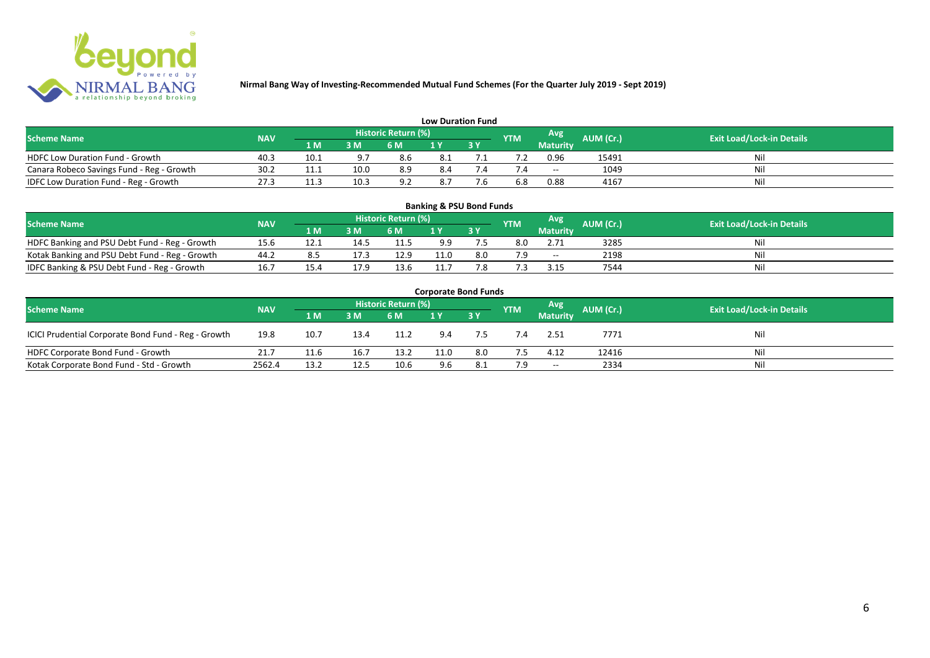

| <b>Low Duration Fund</b>                  |            |                               |      |                            |     |  |            |                          |           |                                  |  |  |  |  |
|-------------------------------------------|------------|-------------------------------|------|----------------------------|-----|--|------------|--------------------------|-----------|----------------------------------|--|--|--|--|
| <b>Scheme Name</b>                        | <b>NAV</b> |                               |      | <b>Historic Return (%)</b> |     |  | <b>YTM</b> | Avg                      | AUM (Cr.) | <b>Exit Load/Lock-in Details</b> |  |  |  |  |
|                                           |            | 1 M                           | 3 M  | 6 M                        | 1 Y |  |            | Maturity                 |           |                                  |  |  |  |  |
| <b>HDFC Low Duration Fund - Growth</b>    | 40.3       | 10.1                          | ດ ສ  | 8.6                        | 8.1 |  |            | 0.96                     | 15491     | Nil                              |  |  |  |  |
| Canara Robeco Savings Fund - Reg - Growth | 30.2       | 11.1                          | 10.0 | 8.9                        | 8.4 |  |            | $\overline{\phantom{a}}$ | 1049      | Nil                              |  |  |  |  |
| IDFC Low Duration Fund - Reg - Growth     | 27.3       | 11 <sup>2</sup><br><b>TT:</b> | 10.3 | 9.2                        | 8.7 |  |            | 0.88                     | 4167      | Nil                              |  |  |  |  |

| <b>Banking &amp; PSU Bond Funds</b>                                                                                                  |      |      |      |      |      |      |     |                 |      |    |  |  |  |  |
|--------------------------------------------------------------------------------------------------------------------------------------|------|------|------|------|------|------|-----|-----------------|------|----|--|--|--|--|
| <b>Historic Return (%)</b><br>Avg<br>AUM (Cr.)<br><b>Exit Load/Lock-in Details</b><br><b>Scheme Name</b><br><b>YTM</b><br><b>NAV</b> |      |      |      |      |      |      |     |                 |      |    |  |  |  |  |
|                                                                                                                                      |      | 1 M  | 3 M  | 6 M  |      | 73 Y |     | <b>Maturity</b> |      |    |  |  |  |  |
| HDFC Banking and PSU Debt Fund - Reg - Growth                                                                                        | 15.6 | 12.1 | 14.5 | 11.5 | 9.9  |      | 8.0 | 2.71            | 3285 | Ni |  |  |  |  |
| Kotak Banking and PSU Debt Fund - Reg - Growth                                                                                       | 44.2 | 8.5  | 17.3 | 12.9 | 11.0 | 8.0  | 7.9 | $- -$           | 2198 | Ni |  |  |  |  |
| IDFC Banking & PSU Debt Fund - Reg - Growth                                                                                          | 16.7 | 15.4 | 17.9 | 13.6 | 11.7 | 7.8  |     | 3.15            | 7544 | Ni |  |  |  |  |

| <b>Corporate Bond Funds</b>                                                                                                          |        |      |      |      |      |      |     |                 |       |     |  |  |  |  |
|--------------------------------------------------------------------------------------------------------------------------------------|--------|------|------|------|------|------|-----|-----------------|-------|-----|--|--|--|--|
| <b>Historic Return (%)</b><br>Avg<br>AUM (Cr.)<br><b>Exit Load/Lock-in Details</b><br><b>Scheme Name</b><br><b>NAV</b><br><b>YTM</b> |        |      |      |      |      |      |     |                 |       |     |  |  |  |  |
|                                                                                                                                      |        | 1 M  | 3 M  | 6 M  |      | 73 Y |     | <b>Maturity</b> |       |     |  |  |  |  |
| ICICI Prudential Corporate Bond Fund - Reg - Growth                                                                                  | 19.8   | 10.7 | 13.4 | 11.2 | 9.4  | 7.5  |     | 2.51            | 7771  | Nil |  |  |  |  |
| HDFC Corporate Bond Fund - Growth                                                                                                    | 21.7   | 11.6 | 16.7 | 13.2 | 11.0 | 8.0  |     | 4.12            | 12416 | Nil |  |  |  |  |
| Kotak Corporate Bond Fund - Std - Growth                                                                                             | 2562.4 | 13.2 | 12.5 | 10.6 | 9.6  | 8.1  | 7.9 | $\sim$          | 2334  | Nil |  |  |  |  |